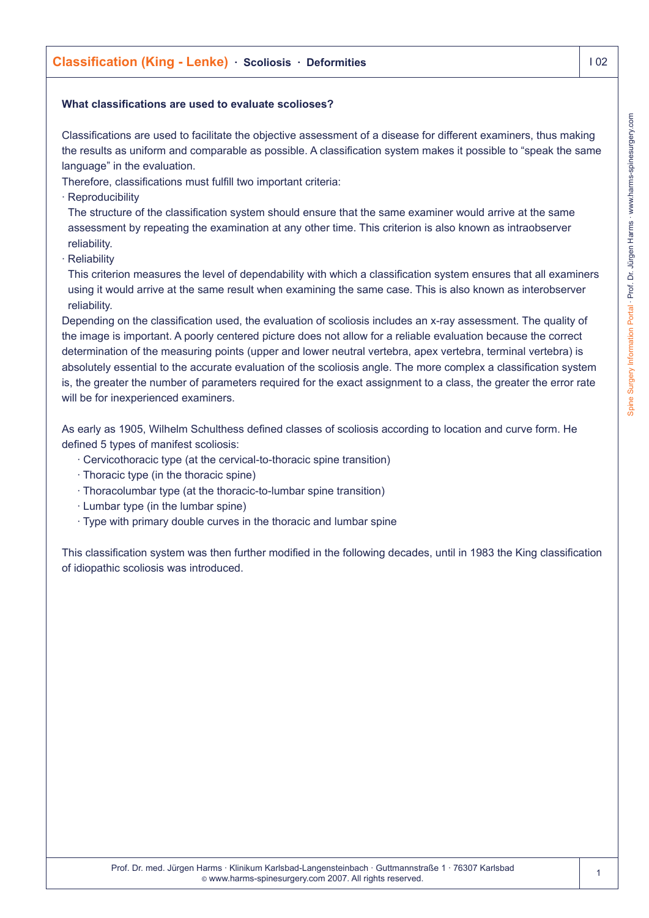## **What classifications are used to evaluate scolioses?**

Classifications are used to facilitate the objective assessment of a disease for different examiners, thus making the results as uniform and comparable as possible. A classification system makes it possible to "speak the same language" in the evaluation.

Therefore, classifications must fulfill two important criteria:

· Reproducibility

The structure of the classification system should ensure that the same examiner would arrive at the same assessment by repeating the examination at any other time. This criterion is also known as intraobserver reliability.

· Reliability

This criterion measures the level of dependability with which a classification system ensures that all examiners using it would arrive at the same result when examining the same case. This is also known as interobserver reliability.

Depending on the classification used, the evaluation of scoliosis includes an x-ray assessment. The quality of the image is important. A poorly centered picture does not allow for a reliable evaluation because the correct determination of the measuring points (upper and lower neutral vertebra, apex vertebra, terminal vertebra) is absolutely essential to the accurate evaluation of the scoliosis angle. The more complex a classification system is, the greater the number of parameters required for the exact assignment to a class, the greater the error rate will be for inexperienced examiners.

As early as 1905, Wilhelm Schulthess defined classes of scoliosis according to location and curve form. He defined 5 types of manifest scoliosis:

- · Cervicothoracic type (at the cervical-to-thoracic spine transition)
- · Thoracic type (in the thoracic spine)
- · Thoracolumbar type (at the thoracic-to-lumbar spine transition)
- · Lumbar type (in the lumbar spine)
- · Type with primary double curves in the thoracic and lumbar spine

This classification system was then further modified in the following decades, until in 1983 the King classification of idiopathic scoliosis was introduced.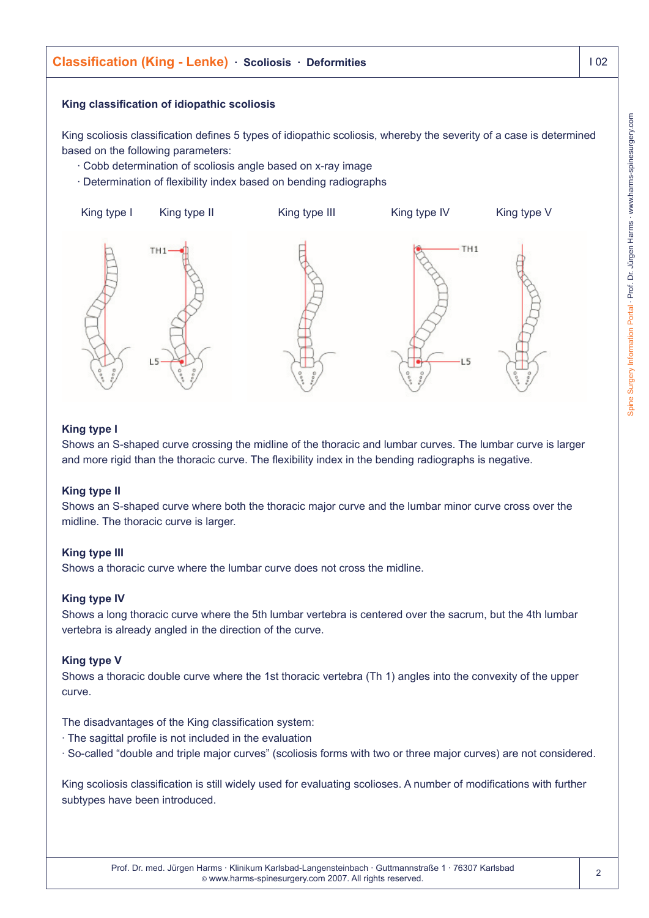

# **King type II**

Shows an S-shaped curve where both the thoracic major curve and the lumbar minor curve cross over the midline. The thoracic curve is larger.

#### **King type III**

Shows a thoracic curve where the lumbar curve does not cross the midline.

#### **King type IV**

Shows a long thoracic curve where the 5th lumbar vertebra is centered over the sacrum, but the 4th lumbar vertebra is already angled in the direction of the curve.

#### **King type V**

Shows a thoracic double curve where the 1st thoracic vertebra (Th 1) angles into the convexity of the upper curve.

The disadvantages of the King classification system:

- · The sagittal profile is not included in the evaluation
- · So-called "double and triple major curves" (scoliosis forms with two or three major curves) are not considered.

King scoliosis classification is still widely used for evaluating scolioses. A number of modifications with further subtypes have been introduced.

 $\mathfrak{p}$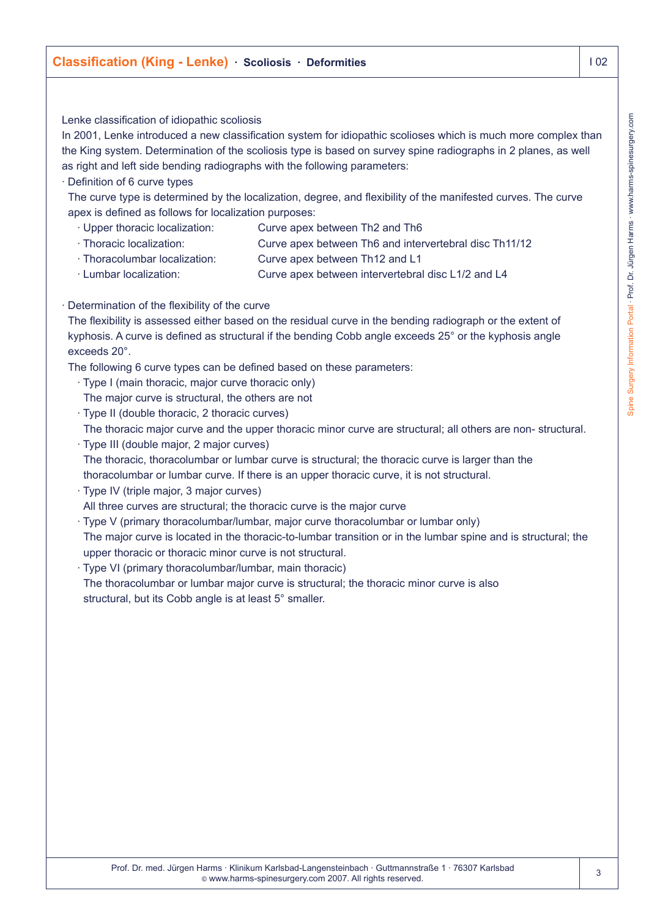# Lenke classification of idiopathic scoliosis

In 2001, Lenke introduced a new classification system for idiopathic scolioses which is much more complex than the King system. Determination of the scoliosis type is based on survey spine radiographs in 2 planes, as well as right and left side bending radiographs with the following parameters:

#### · Definition of 6 curve types

The curve type is determined by the localization, degree, and flexibility of the manifested curves. The curve apex is defined as follows for localization purposes:

- · Upper thoracic localization: Curve apex between Th2 and Th6
- · Thoracic localization: Curve apex between Th6 and intervertebral disc Th11/12
- · Thoracolumbar localization: Curve apex between Th12 and L1
- · Lumbar localization: Curve apex between intervertebral disc L1/2 and L4
- · Determination of the flexibility of the curve

The flexibility is assessed either based on the residual curve in the bending radiograph or the extent of kyphosis. A curve is defined as structural if the bending Cobb angle exceeds 25° or the kyphosis angle exceeds 20°.

The following 6 curve types can be defined based on these parameters:

- · Type I (main thoracic, major curve thoracic only)
- The major curve is structural, the others are not
- · Type II (double thoracic, 2 thoracic curves)
- The thoracic major curve and the upper thoracic minor curve are structural; all others are non- structural.
- · Type III (double major, 2 major curves) The thoracic, thoracolumbar or lumbar curve is structural; the thoracic curve is larger than the thoracolumbar or lumbar curve. If there is an upper thoracic curve, it is not structural.
- · Type IV (triple major, 3 major curves)
- All three curves are structural; the thoracic curve is the major curve
- · Type V (primary thoracolumbar/lumbar, major curve thoracolumbar or lumbar only) The major curve is located in the thoracic-to-lumbar transition or in the lumbar spine and is structural; the upper thoracic or thoracic minor curve is not structural.
- · Type VI (primary thoracolumbar/lumbar, main thoracic) The thoracolumbar or lumbar major curve is structural; the thoracic minor curve is also structural, but its Cobb angle is at least 5° smaller.

3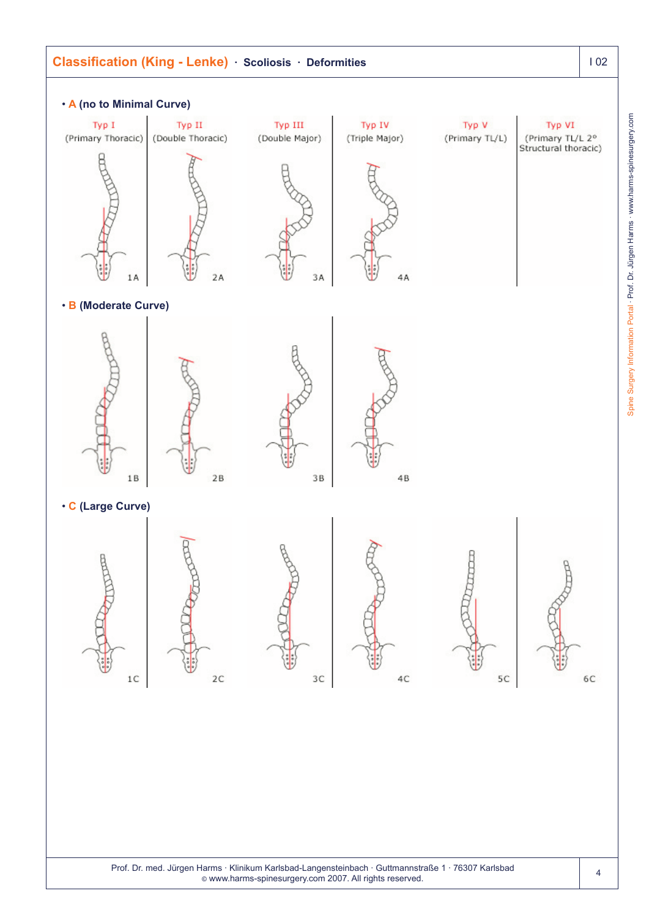

Spine Surgery Information Portal - Prof. Dr. Jürgen Harms - www.harms-spinesurgery.com Spine Surgery Information Portal · Prof. Dr. Jürgen Harms · www.harms-spinesurgery.com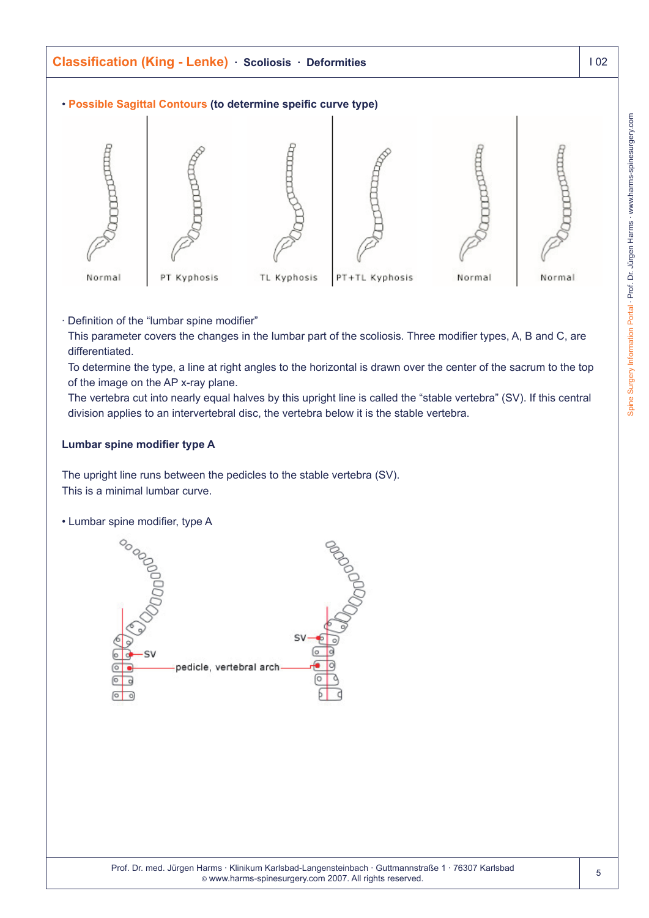

· Definition of the "lumbar spine modifier"

This parameter covers the changes in the lumbar part of the scoliosis. Three modifier types, A, B and C, are differentiated.

To determine the type, a line at right angles to the horizontal is drawn over the center of the sacrum to the top of the image on the AP x-ray plane.

The vertebra cut into nearly equal halves by this upright line is called the "stable vertebra" (SV). If this central division applies to an intervertebral disc, the vertebra below it is the stable vertebra.

### **Lumbar spine modifier type A**

The upright line runs between the pedicles to the stable vertebra (SV). This is a minimal lumbar curve.

• Lumbar spine modifier, type A

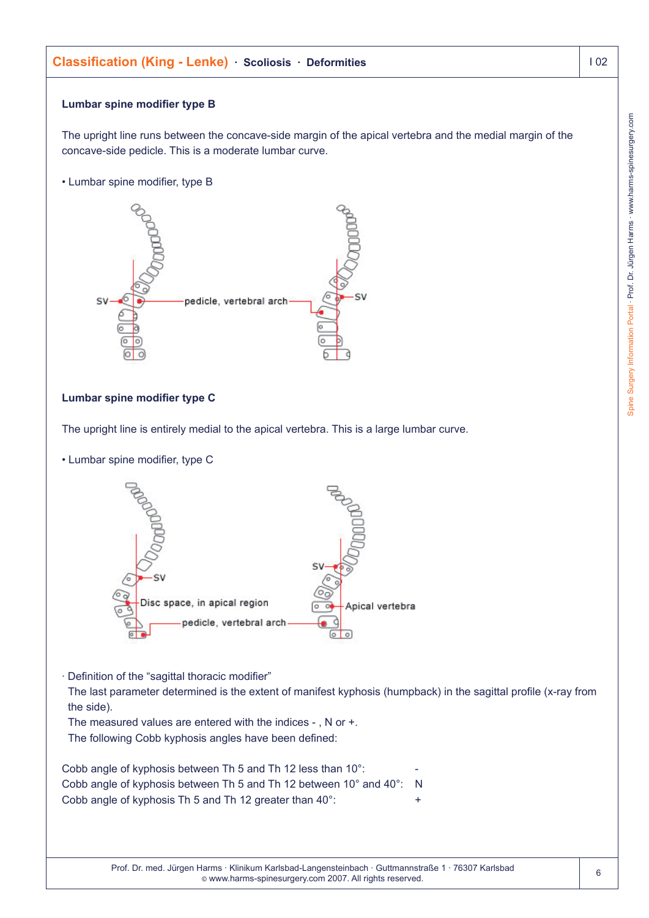# **Lumbar spine modifier type B**

The upright line runs between the concave-side margin of the apical vertebra and the medial margin of the concave-side pedicle. This is a moderate lumbar curve.

• Lumbar spine modifier, type B



# **Lumbar spine modifier type C**

The upright line is entirely medial to the apical vertebra. This is a large lumbar curve.

• Lumbar spine modifier, type C



· Definition of the "sagittal thoracic modifier"

The last parameter determined is the extent of manifest kyphosis (humpback) in the sagittal profile (x-ray from the side).

The measured values are entered with the indices - , N or +. The following Cobb kyphosis angles have been defined:

| Cobb angle of kyphosis between Th 5 and Th 12 less than 10°:                            | -   |
|-----------------------------------------------------------------------------------------|-----|
| Cobb angle of kyphosis between Th 5 and Th 12 between $10^{\circ}$ and $40^{\circ}$ : N |     |
| Cobb angle of kyphosis Th 5 and Th 12 greater than 40°:                                 | $+$ |